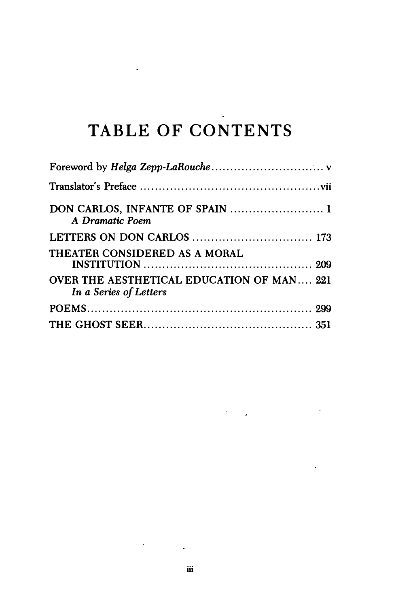## TABLE OF CONTENTS

 $\ddot{\phantom{a}}$ 

| DON CARLOS, INFANTE OF SPAIN  1<br>A Dramatic Poem                         |
|----------------------------------------------------------------------------|
|                                                                            |
| THEATER CONSIDERED AS A MORAL                                              |
| <b>OVER THE AESTHETICAL EDUCATION OF MAN 221</b><br>In a Series of Letters |
|                                                                            |
|                                                                            |

 $\mathcal{L}^{\text{max}}_{\text{max}}$ 

 $\ddot{\phantom{0}}$ 

 $\mathcal{O}(\mathcal{E}^{\mathcal{A}}_{\mathcal{A}})$  . The  $\mathcal{O}(\mathcal{E}^{\mathcal{A}}_{\mathcal{A}})$ 

l.

 $\mathcal{O}(\mathcal{O}_\mathcal{O})$  . The  $\mathcal{O}(\mathcal{O}_\mathcal{O})$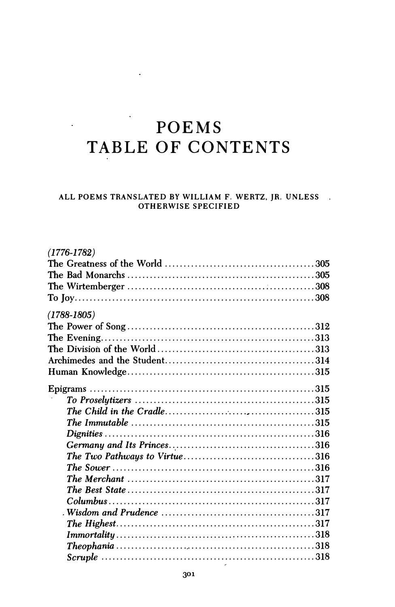## POEMS TABLE OF CONTENTS

 $\ddot{\phantom{a}}$ 

## ALL POEMS TRANSLATED BY WILLIAM F. WERTZ, JR. UNLESS **OTHERWISE SPECIFIED**

| $(1776 - 1782)$                                                                                           |  |
|-----------------------------------------------------------------------------------------------------------|--|
|                                                                                                           |  |
|                                                                                                           |  |
|                                                                                                           |  |
|                                                                                                           |  |
| (1788-1805)                                                                                               |  |
|                                                                                                           |  |
|                                                                                                           |  |
|                                                                                                           |  |
|                                                                                                           |  |
|                                                                                                           |  |
|                                                                                                           |  |
|                                                                                                           |  |
|                                                                                                           |  |
|                                                                                                           |  |
|                                                                                                           |  |
|                                                                                                           |  |
|                                                                                                           |  |
|                                                                                                           |  |
|                                                                                                           |  |
|                                                                                                           |  |
|                                                                                                           |  |
| Wisdom and Prudence $\ldots \ldots \ldots \ldots \ldots \ldots \ldots \ldots \ldots \ldots \ldots \ldots$ |  |
|                                                                                                           |  |
|                                                                                                           |  |
|                                                                                                           |  |
|                                                                                                           |  |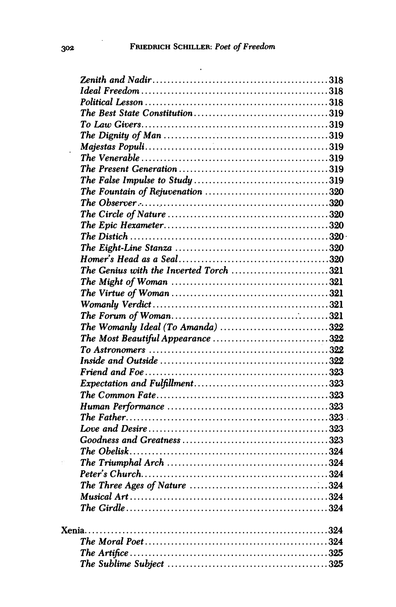$\overline{\phantom{a}}$ 

| The Genius with the Inverted Torch 321 |  |
|----------------------------------------|--|
|                                        |  |
|                                        |  |
|                                        |  |
|                                        |  |
| The Womanly Ideal (To Amanda) 322      |  |
| The Most Beautiful Appearance 322      |  |
|                                        |  |
|                                        |  |
|                                        |  |
|                                        |  |
|                                        |  |
|                                        |  |
|                                        |  |
|                                        |  |
|                                        |  |
|                                        |  |
|                                        |  |
|                                        |  |
|                                        |  |
|                                        |  |
|                                        |  |
|                                        |  |
|                                        |  |
|                                        |  |
|                                        |  |
|                                        |  |
|                                        |  |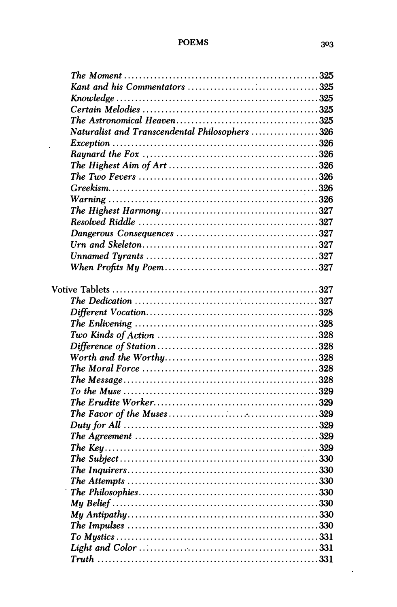## **POEMS**

 $\hat{\mathbf{r}}$ 

| Naturalist and Transcendental Philosophers 326 |  |
|------------------------------------------------|--|
|                                                |  |
|                                                |  |
|                                                |  |
|                                                |  |
|                                                |  |
| $Warning \dots 326$                            |  |
|                                                |  |
|                                                |  |
|                                                |  |
|                                                |  |
|                                                |  |
|                                                |  |
|                                                |  |
|                                                |  |
|                                                |  |
|                                                |  |
|                                                |  |
|                                                |  |
|                                                |  |
|                                                |  |
|                                                |  |
|                                                |  |
|                                                |  |
|                                                |  |
|                                                |  |
|                                                |  |
|                                                |  |
|                                                |  |
|                                                |  |
|                                                |  |
|                                                |  |
|                                                |  |
|                                                |  |
|                                                |  |
|                                                |  |
|                                                |  |
|                                                |  |
|                                                |  |

 $\hat{\boldsymbol{\theta}}$